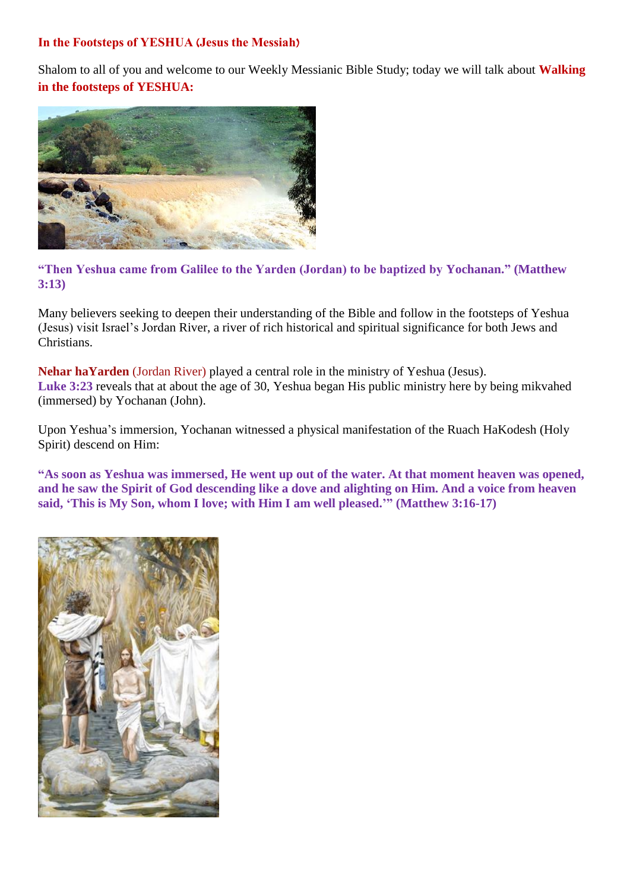Shalom to all of you and welcome to our Weekly Messianic Bible Study; today we will talk about **Walking in the footsteps of YESHUA:**



**"Then Yeshua came from Galilee to the Yarden (Jordan) to be baptized by Yochanan." (Matthew 3:13)**

Many believers seeking to deepen their understanding of the Bible and follow in the footsteps of Yeshua (Jesus) visit Israel's Jordan River, a river of rich historical and spiritual significance for both Jews and Christians.

**Nehar haYarden** (Jordan River) played a central role in the ministry of Yeshua (Jesus). **Luke 3:23** reveals that at about the age of 30, Yeshua began His public ministry here by being mikvahed (immersed) by Yochanan (John).

Upon Yeshua's immersion, Yochanan witnessed a physical manifestation of the Ruach HaKodesh (Holy Spirit) descend on Him:

**"As soon as Yeshua was immersed, He went up out of the water. At that moment heaven was opened, and he saw the Spirit of God descending like a dove and alighting on Him. And a voice from heaven said, 'This is My Son, whom I love; with Him I am well pleased.'" (Matthew 3:16-17)**

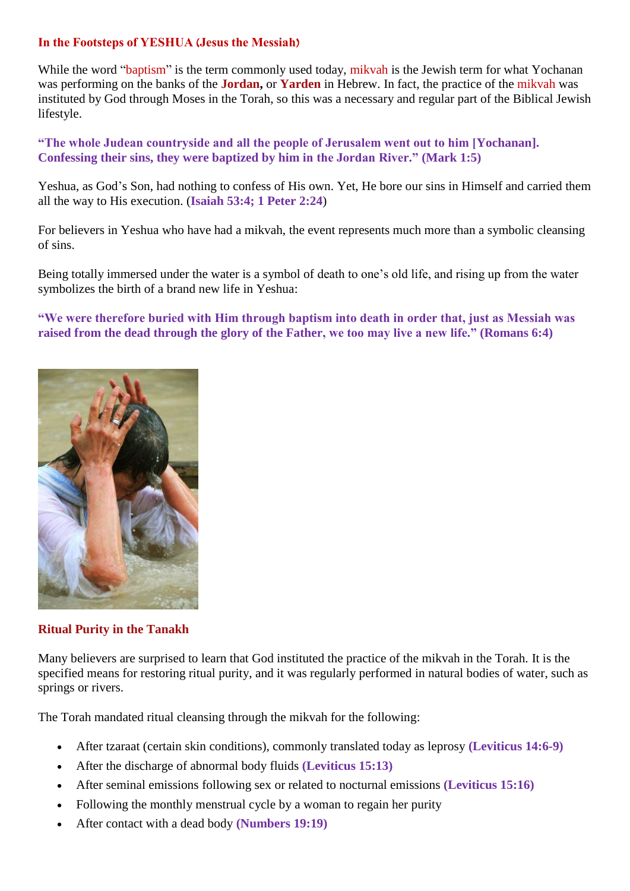While the word "baptism" is the term commonly used today, mikvah is the Jewish term for what Yochanan was performing on the banks of the **Jordan,** or **Yarden** in Hebrew. In fact, the practice of the mikvah was instituted by God through Moses in the Torah, so this was a necessary and regular part of the Biblical Jewish lifestyle.

**"The whole Judean countryside and all the people of Jerusalem went out to him [Yochanan]. Confessing their sins, they were baptized by him in the Jordan River." (Mark 1:5)**

Yeshua, as God's Son, had nothing to confess of His own. Yet, He bore our sins in Himself and carried them all the way to His execution. (**Isaiah 53:4; 1 Peter 2:24**)

For believers in Yeshua who have had a mikvah, the event represents much more than a symbolic cleansing of sins.

Being totally immersed under the water is a symbol of death to one's old life, and rising up from the water symbolizes the birth of a brand new life in Yeshua:

**"We were therefore buried with Him through baptism into death in order that, just as Messiah was raised from the dead through the glory of the Father, we too may live a new life." (Romans 6:4)**



#### **Ritual Purity in the Tanakh**

Many believers are surprised to learn that God instituted the practice of the mikvah in the Torah. It is the specified means for restoring ritual purity, and it was regularly performed in natural bodies of water, such as springs or rivers.

The Torah mandated ritual cleansing through the mikvah for the following:

- After tzaraat (certain skin conditions), commonly translated today as leprosy **(Leviticus 14:6-9)**
- After the discharge of abnormal body fluids **(Leviticus 15:13)**
- After seminal emissions following sex or related to nocturnal emissions **(Leviticus 15:16)**
- Following the monthly menstrual cycle by a woman to regain her purity
- After contact with a dead body **(Numbers 19:19)**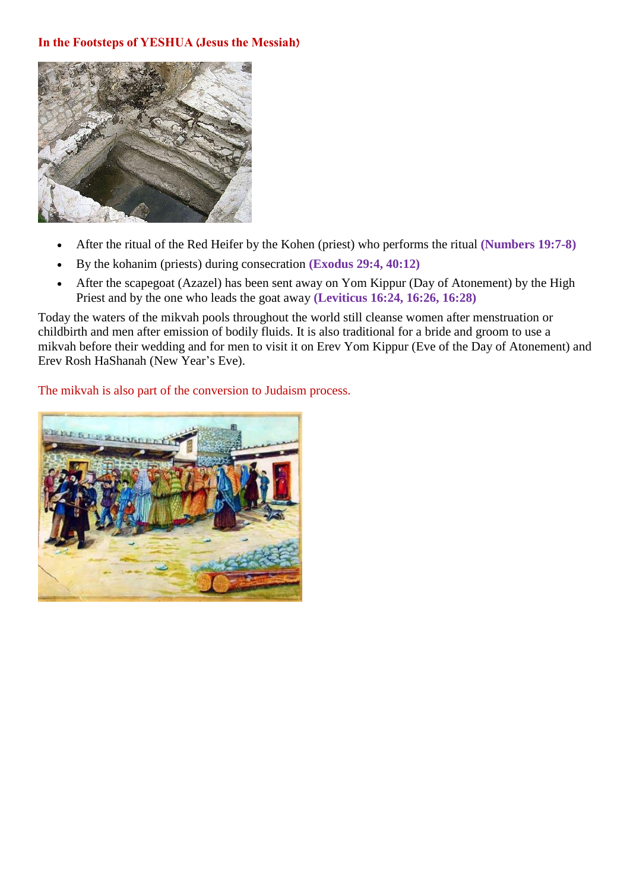

- After the ritual of the Red Heifer by the Kohen (priest) who performs the ritual **(Numbers 19:7-8)**
- By the kohanim (priests) during consecration **(Exodus 29:4, 40:12)**
- After the scapegoat (Azazel) has been sent away on Yom Kippur (Day of Atonement) by the High Priest and by the one who leads the goat away **(Leviticus 16:24, 16:26, 16:28)**

Today the waters of the mikvah pools throughout the world still cleanse women after menstruation or childbirth and men after emission of bodily fluids. It is also traditional for a bride and groom to use a mikvah before their wedding and for men to visit it on Erev Yom Kippur (Eve of the Day of Atonement) and Erev Rosh HaShanah (New Year's Eve).

The mikvah is also part of the conversion to Judaism process.

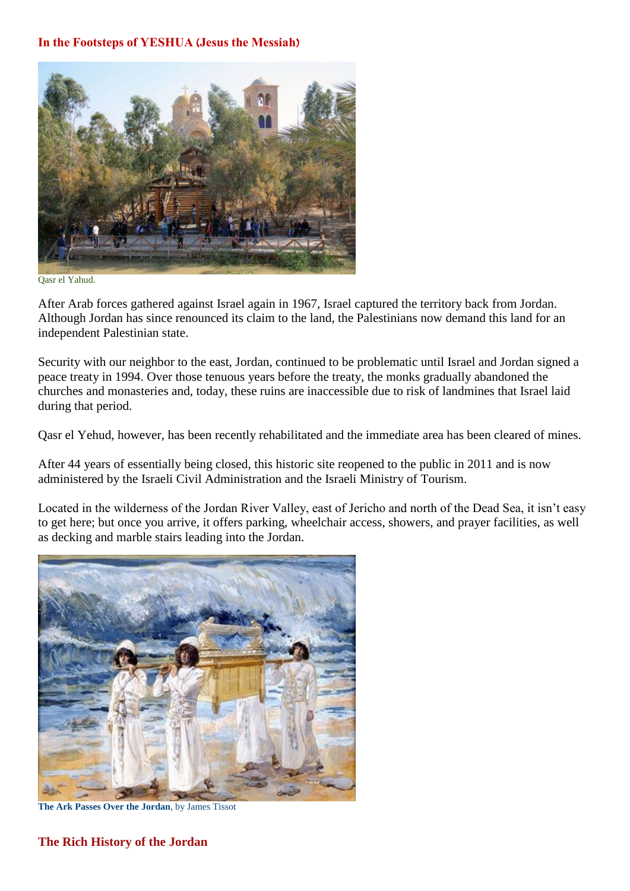

Qasr el Yahud.

After Arab forces gathered against Israel again in 1967, Israel captured the territory back from Jordan. Although Jordan has since renounced its claim to the land, the Palestinians now demand this land for an independent Palestinian state.

Security with our neighbor to the east, Jordan, continued to be problematic until Israel and Jordan signed a peace treaty in 1994. Over those tenuous years before the treaty, the monks gradually abandoned the churches and monasteries and, today, these ruins are inaccessible due to risk of landmines that Israel laid during that period.

Qasr el Yehud, however, has been recently rehabilitated and the immediate area has been cleared of mines.

After 44 years of essentially being closed, this historic site reopened to the public in 2011 and is now administered by the Israeli Civil Administration and the Israeli Ministry of Tourism.

Located in the wilderness of the Jordan River Valley, east of Jericho and north of the Dead Sea, it isn't easy to get here; but once you arrive, it offers parking, wheelchair access, showers, and prayer facilities, as well as decking and marble stairs leading into the Jordan.



**The Ark Passes Over the Jordan**, by James Tissot

### **The Rich History of the Jordan**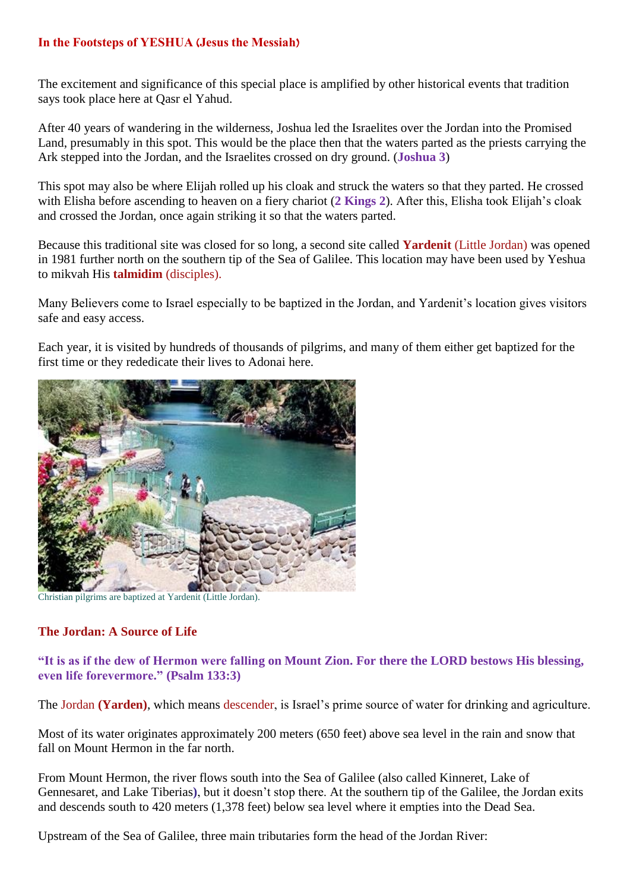The excitement and significance of this special place is amplified by other historical events that tradition says took place here at Qasr el Yahud.

After 40 years of wandering in the wilderness, Joshua led the Israelites over the Jordan into the Promised Land, presumably in this spot. This would be the place then that the waters parted as the priests carrying the Ark stepped into the Jordan, and the Israelites crossed on dry ground. (**Joshua 3**)

This spot may also be where Elijah rolled up his cloak and struck the waters so that they parted. He crossed with Elisha before ascending to heaven on a fiery chariot (**2 Kings 2**). After this, Elisha took Elijah's cloak and crossed the Jordan, once again striking it so that the waters parted.

Because this traditional site was closed for so long, a second site called **Yardenit** (Little Jordan) was opened in 1981 further north on the southern tip of the Sea of Galilee. This location may have been used by Yeshua to mikvah His **talmidim** (disciples).

Many Believers come to Israel especially to be baptized in the Jordan, and Yardenit's location gives visitors safe and easy access.

Each year, it is visited by hundreds of thousands of pilgrims, and many of them either get baptized for the first time or they rededicate their lives to Adonai here.



Christian pilgrims are baptized at Yardenit (Little Jordan).

### **The Jordan: A Source of Life**

**"It is as if the dew of Hermon were falling on Mount Zion. For there the LORD bestows His blessing, even life forevermore." (Psalm 133:3)**

The Jordan **(Yarden)**, which means descender, is Israel's prime source of water for drinking and agriculture.

Most of its water originates approximately 200 meters (650 feet) above sea level in the rain and snow that fall on Mount Hermon in the far north.

From Mount Hermon, the river flows south into the Sea of Galilee (also called Kinneret, Lake of Gennesaret, and Lake Tiberias**)**, but it doesn't stop there. At the southern tip of the Galilee, the Jordan exits and descends south to 420 meters (1,378 feet) below sea level where it empties into the Dead Sea.

Upstream of the Sea of Galilee, three main tributaries form the head of the Jordan River: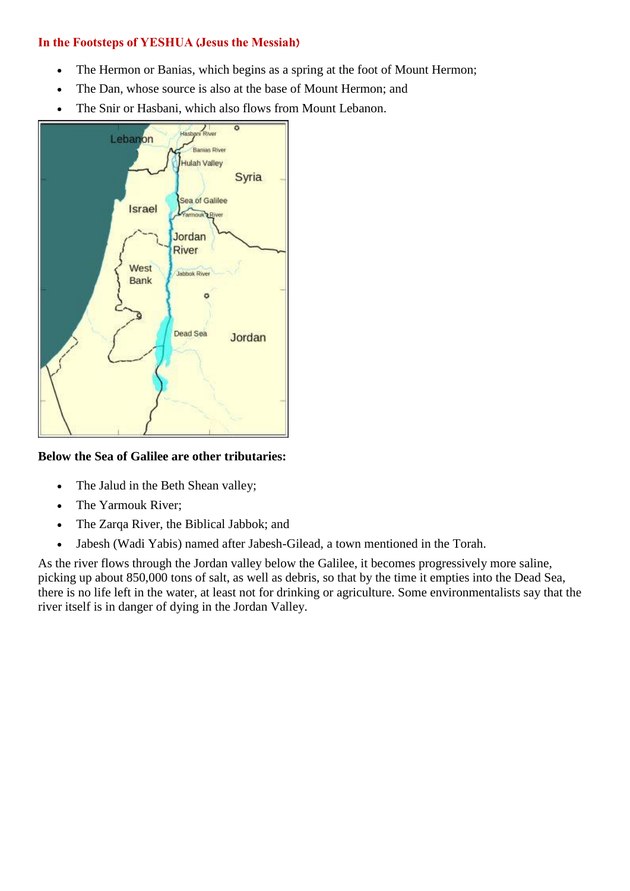- The Hermon or Banias, which begins as a spring at the foot of Mount Hermon;
- The Dan, whose source is also at the base of Mount Hermon; and
- The Snir or Hasbani, which also flows from Mount Lebanon.



## **Below the Sea of Galilee are other tributaries:**

- The Jalud in the Beth Shean valley;
- The Yarmouk River;
- The Zarqa River, the Biblical Jabbok; and
- Jabesh (Wadi Yabis) named after Jabesh-Gilead, a town mentioned in the Torah.

As the river flows through the Jordan valley below the Galilee, it becomes progressively more saline, picking up about 850,000 tons of salt, as well as debris, so that by the time it empties into the Dead Sea, there is no life left in the water, at least not for drinking or agriculture. Some environmentalists say that the river itself is in danger of dying in the Jordan Valley.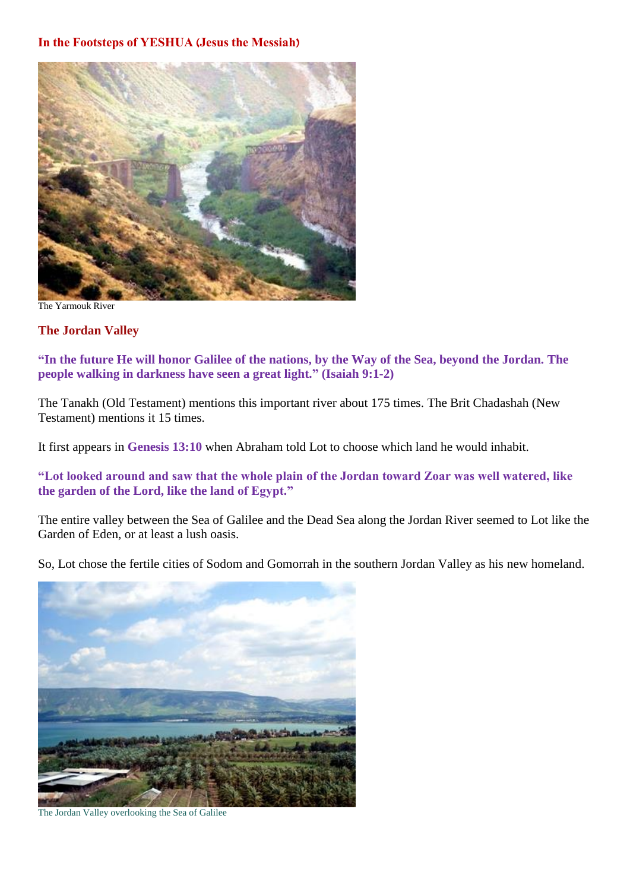

The Yarmouk River

### **The Jordan Valley**

**"In the future He will honor Galilee of the nations, by the Way of the Sea, beyond the Jordan. The people walking in darkness have seen a great light." (Isaiah 9:1-2)**

The Tanakh (Old Testament) mentions this important river about 175 times. The Brit Chadashah (New Testament) mentions it 15 times.

It first appears in **Genesis 13:10** when Abraham told Lot to choose which land he would inhabit.

**"Lot looked around and saw that the whole plain of the Jordan toward Zoar was well watered, like the garden of the Lord, like the land of Egypt."**

The entire valley between the Sea of Galilee and the Dead Sea along the Jordan River seemed to Lot like the Garden of Eden, or at least a lush oasis.

So, Lot chose the fertile cities of Sodom and Gomorrah in the southern Jordan Valley as his new homeland.



The Jordan Valley overlooking the Sea of Galilee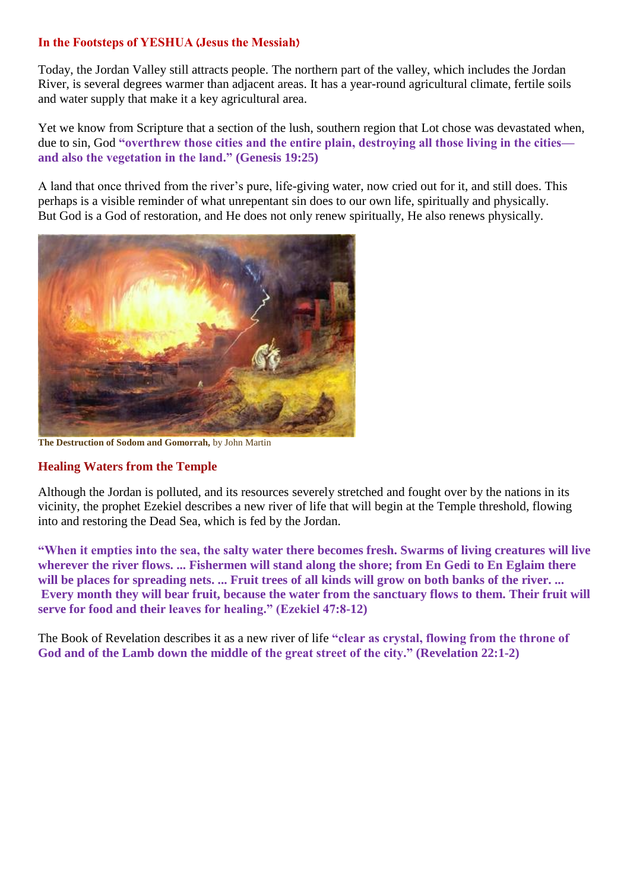Today, the Jordan Valley still attracts people. The northern part of the valley, which includes the Jordan River, is several degrees warmer than adjacent areas. It has a year-round agricultural climate, fertile soils and water supply that make it a key agricultural area.

Yet we know from Scripture that a section of the lush, southern region that Lot chose was devastated when, due to sin, God **"overthrew those cities and the entire plain, destroying all those living in the cities and also the vegetation in the land." (Genesis 19:25)**

A land that once thrived from the river's pure, life-giving water, now cried out for it, and still does. This perhaps is a visible reminder of what unrepentant sin does to our own life, spiritually and physically. But God is a God of restoration, and He does not only renew spiritually, He also renews physically.



**The Destruction of Sodom and Gomorrah,** by John Martin

## **Healing Waters from the Temple**

Although the Jordan is polluted, and its resources severely stretched and fought over by the nations in its vicinity, the prophet Ezekiel describes a new river of life that will begin at the Temple threshold, flowing into and restoring the Dead Sea, which is fed by the Jordan.

**"When it empties into the sea, the salty water there becomes fresh. Swarms of living creatures will live wherever the river flows. ... Fishermen will stand along the shore; from En Gedi to En Eglaim there will be places for spreading nets. ... Fruit trees of all kinds will grow on both banks of the river. ... Every month they will bear fruit, because the water from the sanctuary flows to them. Their fruit will serve for food and their leaves for healing." (Ezekiel 47:8-12)**

The Book of Revelation describes it as a new river of life **"clear as crystal, flowing from the throne of God and of the Lamb down the middle of the great street of the city." (Revelation 22:1-2)**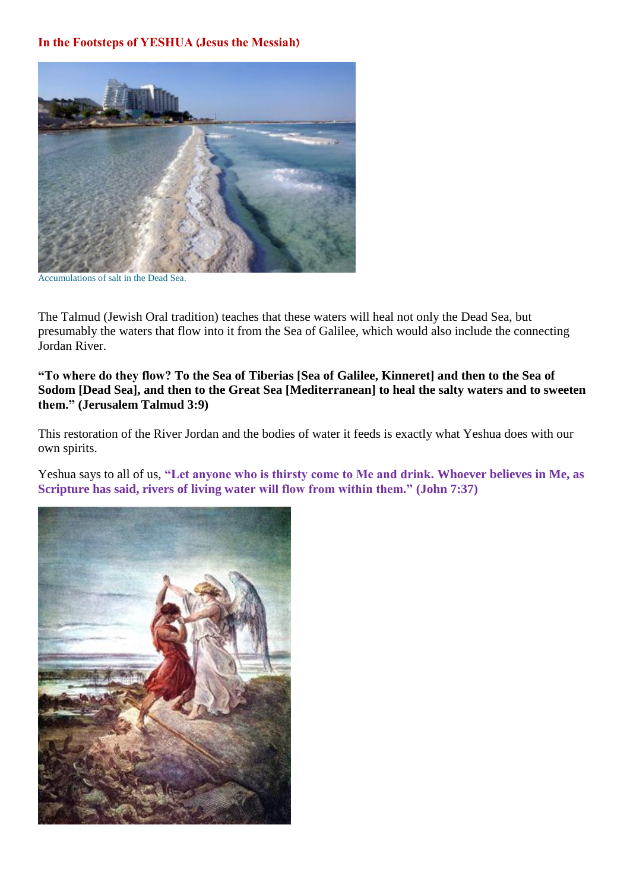

Accumulations of salt in the Dead Sea.

The Talmud (Jewish Oral tradition) teaches that these waters will heal not only the Dead Sea, but presumably the waters that flow into it from the Sea of Galilee, which would also include the connecting Jordan River.

**"To where do they flow? To the Sea of Tiberias [Sea of Galilee, Kinneret] and then to the Sea of Sodom [Dead Sea], and then to the Great Sea [Mediterranean] to heal the salty waters and to sweeten them." (Jerusalem Talmud 3:9)**

This restoration of the River Jordan and the bodies of water it feeds is exactly what Yeshua does with our own spirits.

Yeshua says to all of us, **"Let anyone who is thirsty come to Me and drink. Whoever believes in Me, as Scripture has said, rivers of living water will flow from within them." (John 7:37)**

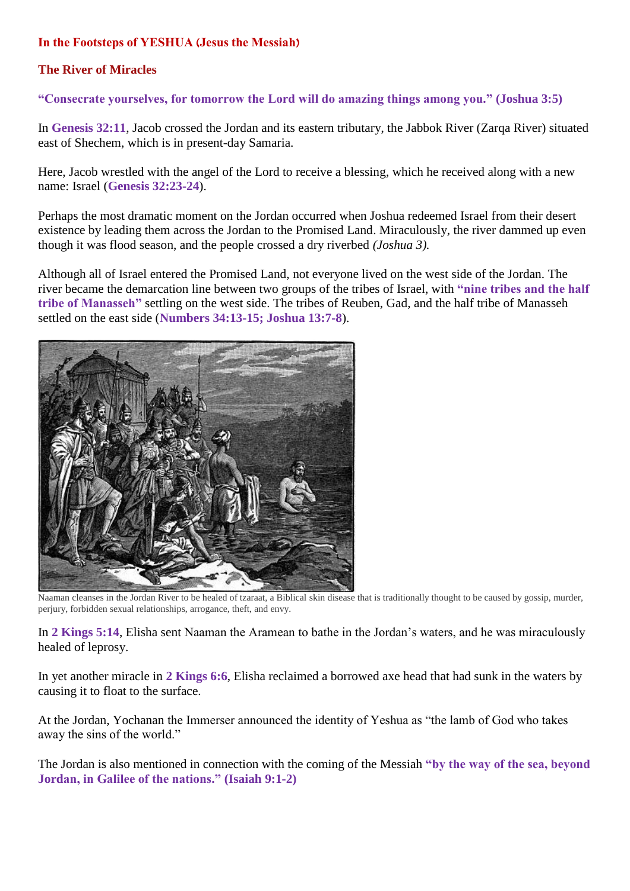## **The River of Miracles**

### **"Consecrate yourselves, for tomorrow the Lord will do amazing things among you." (Joshua 3:5)**

In **Genesis 32:11**, Jacob crossed the Jordan and its eastern tributary, the Jabbok River (Zarqa River) situated east of Shechem, which is in present-day Samaria.

Here, Jacob wrestled with the angel of the Lord to receive a blessing, which he received along with a new name: Israel (**Genesis 32:23-24**).

Perhaps the most dramatic moment on the Jordan occurred when Joshua redeemed Israel from their desert existence by leading them across the Jordan to the Promised Land. Miraculously, the river dammed up even though it was flood season, and the people crossed a dry riverbed *(Joshua 3).*

Although all of Israel entered the Promised Land, not everyone lived on the west side of the Jordan. The river became the demarcation line between two groups of the tribes of Israel, with **"nine tribes and the half tribe of Manasseh"** settling on the west side. The tribes of Reuben, Gad, and the half tribe of Manasseh settled on the east side (**Numbers 34:13-15; Joshua 13:7-8**).



Naaman cleanses in the Jordan River to be healed of tzaraat, a Biblical skin disease that is traditionally thought to be caused by gossip, murder, perjury, forbidden sexual relationships, arrogance, theft, and envy.

In **2 Kings 5:14**, Elisha sent Naaman the Aramean to bathe in the Jordan's waters, and he was miraculously healed of leprosy.

In yet another miracle in **2 Kings 6:6**, Elisha reclaimed a borrowed axe head that had sunk in the waters by causing it to float to the surface.

At the Jordan, Yochanan the Immerser announced the identity of Yeshua as "the lamb of God who takes away the sins of the world."

The Jordan is also mentioned in connection with the coming of the Messiah **"by the way of the sea, beyond Jordan, in Galilee of the nations." (Isaiah 9:1-2)**